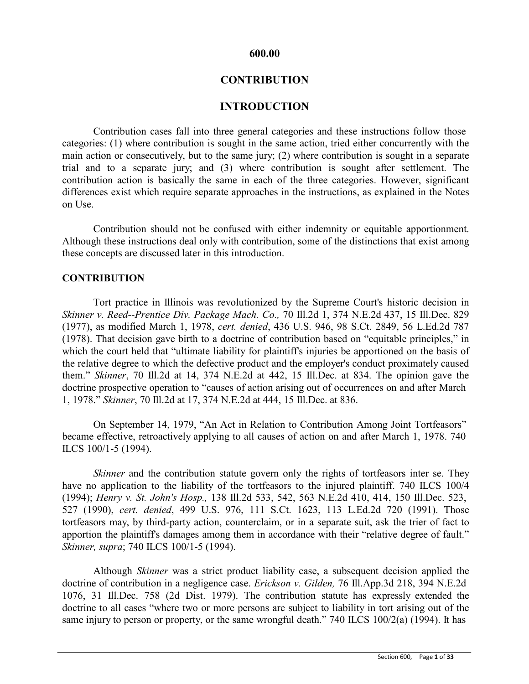### **600.00**

# **CONTRIBUTION**

### **INTRODUCTION**

Contribution cases fall into three general categories and these instructions follow those categories: (1) where contribution is sought in the same action, tried either concurrently with the main action or consecutively, but to the same jury; (2) where contribution is sought in a separate trial and to a separate jury; and (3) where contribution is sought after settlement. The contribution action is basically the same in each of the three categories. However, significant differences exist which require separate approaches in the instructions, as explained in the Notes on Use.

Contribution should not be confused with either indemnity or equitable apportionment. Although these instructions deal only with contribution, some of the distinctions that exist among these concepts are discussed later in this introduction.

### **CONTRIBUTION**

Tort practice in Illinois was revolutionized by the Supreme Court's historic decision in *Skinner v. Reed--Prentice Div. Package Mach. Co.,* 70 Ill.2d 1, 374 N.E.2d 437, 15 Ill.Dec. 829 (1977), as modified March 1, 1978, *cert. denied*, 436 U.S. 946, 98 S.Ct. 2849, 56 L.Ed.2d 787 (1978). That decision gave birth to a doctrine of contribution based on "equitable principles," in which the court held that "ultimate liability for plaintiff's injuries be apportioned on the basis of the relative degree to which the defective product and the employer's conduct proximately caused them." *Skinner*, 70 Ill.2d at 14, 374 N.E.2d at 442, 15 Ill.Dec. at 834. The opinion gave the doctrine prospective operation to "causes of action arising out of occurrences on and after March 1, 1978." *Skinner*, 70 Ill.2d at 17, 374 N.E.2d at 444, 15 Ill.Dec. at 836.

On September 14, 1979, "An Act in Relation to Contribution Among Joint Tortfeasors" became effective, retroactively applying to all causes of action on and after March 1, 1978. 740 ILCS 100/1-5 (1994).

*Skinner* and the contribution statute govern only the rights of tortfeasors inter se. They have no application to the liability of the tortfeasors to the injured plaintiff. 740 ILCS 100/4 (1994); *Henry v. St. John's Hosp.,* 138 Ill.2d 533, 542, 563 N.E.2d 410, 414, 150 Ill.Dec. 523, 527 (1990), *cert. denied*, 499 U.S. 976, 111 S.Ct. 1623, 113 L.Ed.2d 720 (1991). Those tortfeasors may, by third-party action, counterclaim, or in a separate suit, ask the trier of fact to apportion the plaintiff's damages among them in accordance with their "relative degree of fault." *Skinner, supra*; 740 ILCS 100/1-5 (1994).

Although *Skinner* was a strict product liability case, a subsequent decision applied the doctrine of contribution in a negligence case. *Erickson v. Gilden,* 76 Ill.App.3d 218, 394 N.E.2d 1076, 31 Ill.Dec. 758 (2d Dist. 1979). The contribution statute has expressly extended the doctrine to all cases "where two or more persons are subject to liability in tort arising out of the same injury to person or property, or the same wrongful death." 740 ILCS 100/2(a) (1994). It has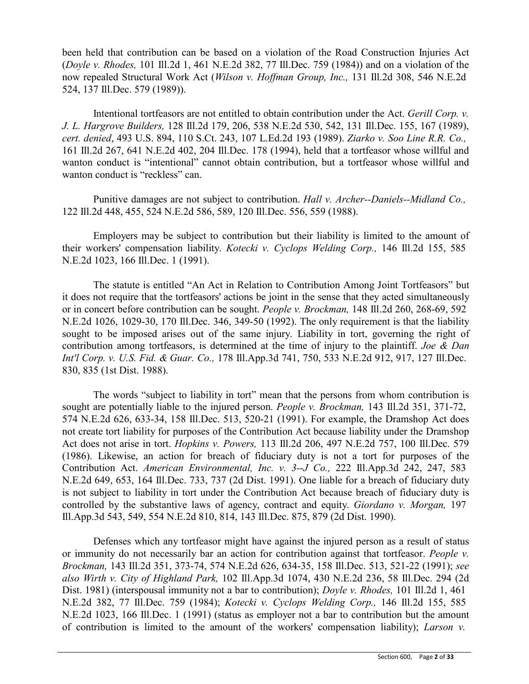been held that contribution can be based on a violation of the Road Construction Injuries Act (*Doyle v. Rhodes,* 101 Ill.2d 1, 461 N.E.2d 382, 77 Ill.Dec. 759 (1984)) and on a violation of the now repealed Structural Work Act (*Wilson v. Hoffman Group, Inc.,* 131 Ill.2d 308, 546 N.E.2d 524, 137 Ill.Dec. 579 (1989)).

Intentional tortfeasors are not entitled to obtain contribution under the Act. *Gerill Corp. v. J. L. Hargrove Builders,* 128 Ill.2d 179, 206, 538 N.E.2d 530, 542, 131 Ill.Dec. 155, 167 (1989), *cert. denied*, 493 U.S. 894, 110 S.Ct. 243, 107 L.Ed.2d 193 (1989). *Ziarko v. Soo Line R.R. Co.,* 161 Ill.2d 267, 641 N.E.2d 402, 204 Ill.Dec. 178 (1994), held that a tortfeasor whose willful and wanton conduct is "intentional" cannot obtain contribution, but a tortfeasor whose willful and wanton conduct is "reckless" can.

Punitive damages are not subject to contribution. *Hall v. Archer--Daniels--Midland Co.,* 122 Ill.2d 448, 455, 524 N.E.2d 586, 589, 120 Ill.Dec. 556, 559 (1988).

Employers may be subject to contribution but their liability is limited to the amount of their workers' compensation liability. *Kotecki v. Cyclops Welding Corp.,* 146 Ill.2d 155, 585 N.E.2d 1023, 166 Ill.Dec. 1 (1991).

The statute is entitled "An Act in Relation to Contribution Among Joint Tortfeasors" but it does not require that the tortfeasors' actions be joint in the sense that they acted simultaneously or in concert before contribution can be sought. *People v. Brockman,* 148 Ill.2d 260, 268-69, 592 N.E.2d 1026, 1029-30, 170 Ill.Dec. 346, 349-50 (1992). The only requirement is that the liability sought to be imposed arises out of the same injury. Liability in tort, governing the right of contribution among tortfeasors, is determined at the time of injury to the plaintiff. *Joe & Dan Int'l Corp. v. U.S. Fid. & Guar. Co.,* 178 Ill.App.3d 741, 750, 533 N.E.2d 912, 917, 127 Ill.Dec. 830, 835 (1st Dist. 1988).

The words "subject to liability in tort" mean that the persons from whom contribution is sought are potentially liable to the injured person. *People v. Brockman,* 143 Ill.2d 351, 371-72, 574 N.E.2d 626, 633-34, 158 Ill.Dec. 513, 520-21 (1991). For example, the Dramshop Act does not create tort liability for purposes of the Contribution Act because liability under the Dramshop Act does not arise in tort. *Hopkins v. Powers,* 113 Ill.2d 206, 497 N.E.2d 757, 100 Ill.Dec. 579 (1986). Likewise, an action for breach of fiduciary duty is not a tort for purposes of the Contribution Act. *American Environmental, Inc. v. 3--J Co.,* 222 Ill.App.3d 242, 247, 583 N.E.2d 649, 653, 164 Ill.Dec. 733, 737 (2d Dist. 1991). One liable for a breach of fiduciary duty is not subject to liability in tort under the Contribution Act because breach of fiduciary duty is controlled by the substantive laws of agency, contract and equity. *Giordano v. Morgan,* 197 Ill.App.3d 543, 549, 554 N.E.2d 810, 814, 143 Ill.Dec. 875, 879 (2d Dist. 1990).

Defenses which any tortfeasor might have against the injured person as a result of status or immunity do not necessarily bar an action for contribution against that tortfeasor. *People v. Brockman,* 143 Ill.2d 351, 373-74, 574 N.E.2d 626, 634-35, 158 Ill.Dec. 513, 521-22 (1991); *see also Wirth v. City of Highland Park,* 102 Ill.App.3d 1074, 430 N.E.2d 236, 58 Ill.Dec. 294 (2d Dist. 1981) (interspousal immunity not a bar to contribution); *Doyle v. Rhodes,* 101 Ill.2d 1, 461 N.E.2d 382, 77 Ill.Dec. 759 (1984); *Kotecki v. Cyclops Welding Corp.,* 146 Ill.2d 155, 585 N.E.2d 1023, 166 Ill.Dec. 1 (1991) (status as employer not a bar to contribution but the amount of contribution is limited to the amount of the workers' compensation liability); *Larson v.*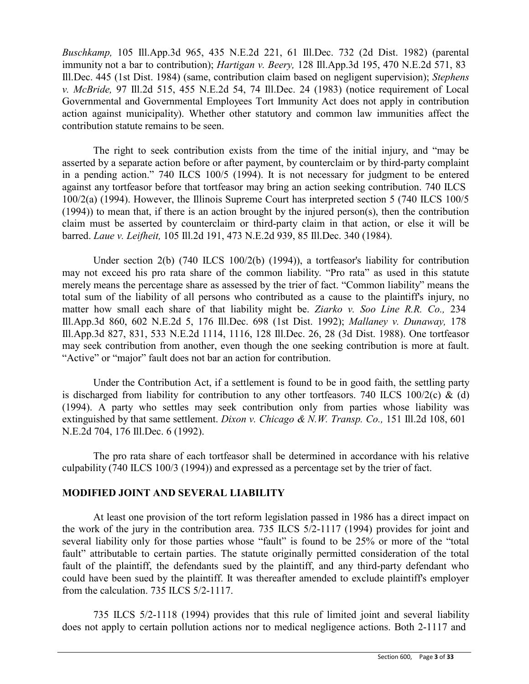*Buschkamp,* 105 Ill.App.3d 965, 435 N.E.2d 221, 61 Ill.Dec. 732 (2d Dist. 1982) (parental immunity not a bar to contribution); *Hartigan v. Beery,* 128 Ill.App.3d 195, 470 N.E.2d 571, 83 Ill.Dec. 445 (1st Dist. 1984) (same, contribution claim based on negligent supervision); *Stephens v. McBride,* 97 Ill.2d 515, 455 N.E.2d 54, 74 Ill.Dec. 24 (1983) (notice requirement of Local Governmental and Governmental Employees Tort Immunity Act does not apply in contribution action against municipality). Whether other statutory and common law immunities affect the contribution statute remains to be seen.

The right to seek contribution exists from the time of the initial injury, and "may be asserted by a separate action before or after payment, by counterclaim or by third-party complaint in a pending action." 740 ILCS 100/5 (1994). It is not necessary for judgment to be entered against any tortfeasor before that tortfeasor may bring an action seeking contribution. 740 ILCS 100/2(a) (1994). However, the Illinois Supreme Court has interpreted section 5 (740 ILCS 100/5 (1994)) to mean that, if there is an action brought by the injured person(s), then the contribution claim must be asserted by counterclaim or third-party claim in that action, or else it will be barred. *Laue v. Leifheit,* 105 Ill.2d 191, 473 N.E.2d 939, 85 Ill.Dec. 340 (1984).

Under section 2(b) (740 ILCS 100/2(b) (1994)), a tortfeasor's liability for contribution may not exceed his pro rata share of the common liability. "Pro rata" as used in this statute merely means the percentage share as assessed by the trier of fact. "Common liability" means the total sum of the liability of all persons who contributed as a cause to the plaintiff's injury, no matter how small each share of that liability might be. *Ziarko v. Soo Line R.R. Co.,* 234 Ill.App.3d 860, 602 N.E.2d 5, 176 Ill.Dec. 698 (1st Dist. 1992); *Mallaney v. Dunaway,* 178 Ill.App.3d 827, 831, 533 N.E.2d 1114, 1116, 128 Ill.Dec. 26, 28 (3d Dist. 1988). One tortfeasor may seek contribution from another, even though the one seeking contribution is more at fault. "Active" or "major" fault does not bar an action for contribution.

Under the Contribution Act, if a settlement is found to be in good faith, the settling party is discharged from liability for contribution to any other tortfeasors. 740 ILCS 100/2(c) & (d) (1994). A party who settles may seek contribution only from parties whose liability was extinguished by that same settlement. *Dixon v. Chicago & N.W. Transp. Co.,* 151 Ill.2d 108, 601 N.E.2d 704, 176 Ill.Dec. 6 (1992).

The pro rata share of each tortfeasor shall be determined in accordance with his relative culpability (740 ILCS 100/3 (1994)) and expressed as a percentage set by the trier of fact.

# **MODIFIED JOINT AND SEVERAL LIABILITY**

At least one provision of the tort reform legislation passed in 1986 has a direct impact on the work of the jury in the contribution area. 735 ILCS 5/2-1117 (1994) provides for joint and several liability only for those parties whose "fault" is found to be 25% or more of the "total fault" attributable to certain parties. The statute originally permitted consideration of the total fault of the plaintiff, the defendants sued by the plaintiff, and any third-party defendant who could have been sued by the plaintiff. It was thereafter amended to exclude plaintiff's employer from the calculation. 735 ILCS 5/2-1117.

735 ILCS 5/2-1118 (1994) provides that this rule of limited joint and several liability does not apply to certain pollution actions nor to medical negligence actions. Both 2-1117 and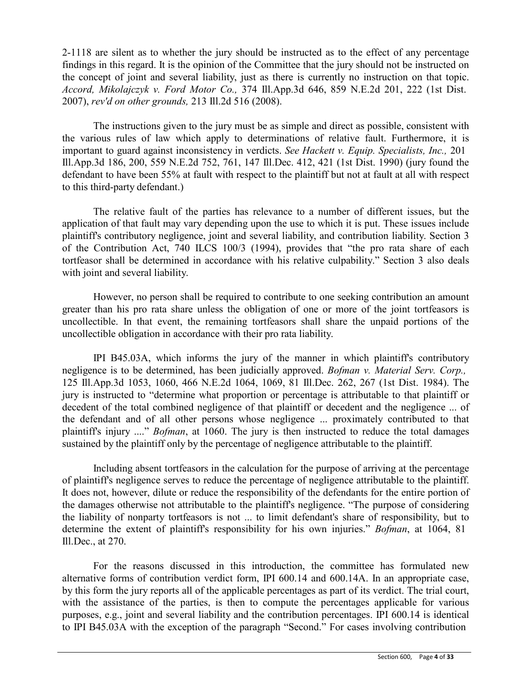2-1118 are silent as to whether the jury should be instructed as to the effect of any percentage findings in this regard. It is the opinion of the Committee that the jury should not be instructed on the concept of joint and several liability, just as there is currently no instruction on that topic. *Accord, Mikolajczyk v. Ford Motor Co.,* 374 Ill.App.3d 646, 859 N.E.2d 201, 222 (1st Dist. 2007), *rev'd on other grounds,* 213 Ill.2d 516 (2008).

The instructions given to the jury must be as simple and direct as possible, consistent with the various rules of law which apply to determinations of relative fault. Furthermore, it is important to guard against inconsistency in verdicts. *See Hackett v. Equip. Specialists, Inc.,* 201 Ill.App.3d 186, 200, 559 N.E.2d 752, 761, 147 Ill.Dec. 412, 421 (1st Dist. 1990) (jury found the defendant to have been 55% at fault with respect to the plaintiff but not at fault at all with respect to this third-party defendant.)

The relative fault of the parties has relevance to a number of different issues, but the application of that fault may vary depending upon the use to which it is put. These issues include plaintiff's contributory negligence, joint and several liability, and contribution liability. Section 3 of the Contribution Act, 740 ILCS 100/3 (1994), provides that "the pro rata share of each tortfeasor shall be determined in accordance with his relative culpability." Section 3 also deals with joint and several liability.

However, no person shall be required to contribute to one seeking contribution an amount greater than his pro rata share unless the obligation of one or more of the joint tortfeasors is uncollectible. In that event, the remaining tortfeasors shall share the unpaid portions of the uncollectible obligation in accordance with their pro rata liability.

IPI B45.03A, which informs the jury of the manner in which plaintiff's contributory negligence is to be determined, has been judicially approved. *Bofman v. Material Serv. Corp.,* 125 Ill.App.3d 1053, 1060, 466 N.E.2d 1064, 1069, 81 Ill.Dec. 262, 267 (1st Dist. 1984). The jury is instructed to "determine what proportion or percentage is attributable to that plaintiff or decedent of the total combined negligence of that plaintiff or decedent and the negligence ... of the defendant and of all other persons whose negligence ... proximately contributed to that plaintiff's injury ...." *Bofman*, at 1060. The jury is then instructed to reduce the total damages sustained by the plaintiff only by the percentage of negligence attributable to the plaintiff.

Including absent tortfeasors in the calculation for the purpose of arriving at the percentage of plaintiff's negligence serves to reduce the percentage of negligence attributable to the plaintiff. It does not, however, dilute or reduce the responsibility of the defendants for the entire portion of the damages otherwise not attributable to the plaintiff's negligence. "The purpose of considering the liability of nonparty tortfeasors is not ... to limit defendant's share of responsibility, but to determine the extent of plaintiff's responsibility for his own injuries." *Bofman*, at 1064, 81 Ill.Dec., at 270.

For the reasons discussed in this introduction, the committee has formulated new alternative forms of contribution verdict form, IPI 600.14 and 600.14A. In an appropriate case, by this form the jury reports all of the applicable percentages as part of its verdict. The trial court, with the assistance of the parties, is then to compute the percentages applicable for various purposes, e.g., joint and several liability and the contribution percentages. IPI 600.14 is identical to IPI B45.03A with the exception of the paragraph "Second." For cases involving contribution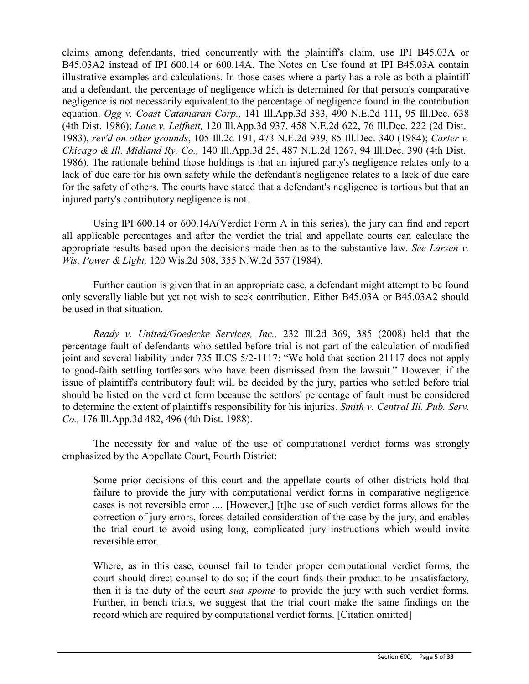claims among defendants, tried concurrently with the plaintiff's claim, use IPI B45.03A or B45.03A2 instead of IPI 600.14 or 600.14A. The Notes on Use found at IPI B45.03A contain illustrative examples and calculations. In those cases where a party has a role as both a plaintiff and a defendant, the percentage of negligence which is determined for that person's comparative negligence is not necessarily equivalent to the percentage of negligence found in the contribution equation. *Ogg v. Coast Catamaran Corp.,* 141 Ill.App.3d 383, 490 N.E.2d 111, 95 Ill.Dec. 638 (4th Dist. 1986); *Laue v. Leifheit,* 120 Ill.App.3d 937, 458 N.E.2d 622, 76 Ill.Dec. 222 (2d Dist. 1983), *rev'd on other grounds*, 105 Ill.2d 191, 473 N.E.2d 939, 85 Ill.Dec. 340 (1984); *Carter v. Chicago & Ill. Midland Ry. Co.,* 140 Ill.App.3d 25, 487 N.E.2d 1267, 94 Ill.Dec. 390 (4th Dist. 1986). The rationale behind those holdings is that an injured party's negligence relates only to a lack of due care for his own safety while the defendant's negligence relates to a lack of due care for the safety of others. The courts have stated that a defendant's negligence is tortious but that an injured party's contributory negligence is not.

Using IPI 600.14 or 600.14A(Verdict Form A in this series), the jury can find and report all applicable percentages and after the verdict the trial and appellate courts can calculate the appropriate results based upon the decisions made then as to the substantive law. *See Larsen v. Wis. Power & Light,* 120 Wis.2d 508, 355 N.W.2d 557 (1984).

Further caution is given that in an appropriate case, a defendant might attempt to be found only severally liable but yet not wish to seek contribution. Either B45.03A or B45.03A2 should be used in that situation.

*Ready v. United/Goedecke Services, Inc.,* 232 Ill.2d 369, 385 (2008) held that the percentage fault of defendants who settled before trial is not part of the calculation of modified joint and several liability under 735 ILCS 5/2-1117: "We hold that section 21117 does not apply to good-faith settling tortfeasors who have been dismissed from the lawsuit." However, if the issue of plaintiff's contributory fault will be decided by the jury, parties who settled before trial should be listed on the verdict form because the settlors' percentage of fault must be considered to determine the extent of plaintiff's responsibility for his injuries. *Smith v. Central Ill. Pub. Serv. Co.,* 176 Ill.App.3d 482, 496 (4th Dist. 1988).

The necessity for and value of the use of computational verdict forms was strongly emphasized by the Appellate Court, Fourth District:

Some prior decisions of this court and the appellate courts of other districts hold that failure to provide the jury with computational verdict forms in comparative negligence cases is not reversible error .... [However,] [t]he use of such verdict forms allows for the correction of jury errors, forces detailed consideration of the case by the jury, and enables the trial court to avoid using long, complicated jury instructions which would invite reversible error.

Where, as in this case, counsel fail to tender proper computational verdict forms, the court should direct counsel to do so; if the court finds their product to be unsatisfactory, then it is the duty of the court *sua sponte* to provide the jury with such verdict forms. Further, in bench trials, we suggest that the trial court make the same findings on the record which are required by computational verdict forms. [Citation omitted]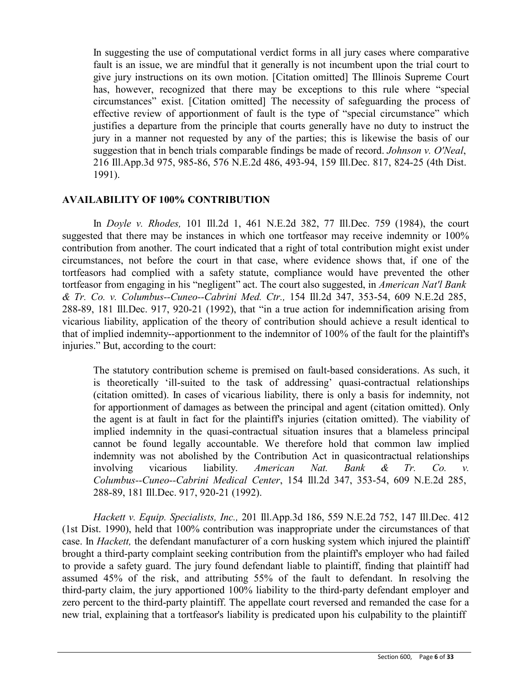In suggesting the use of computational verdict forms in all jury cases where comparative fault is an issue, we are mindful that it generally is not incumbent upon the trial court to give jury instructions on its own motion. [Citation omitted] The Illinois Supreme Court has, however, recognized that there may be exceptions to this rule where "special circumstances" exist. [Citation omitted] The necessity of safeguarding the process of effective review of apportionment of fault is the type of "special circumstance" which justifies a departure from the principle that courts generally have no duty to instruct the jury in a manner not requested by any of the parties; this is likewise the basis of our suggestion that in bench trials comparable findings be made of record. *Johnson v. O'Neal*, 216 Ill.App.3d 975, 985-86, 576 N.E.2d 486, 493-94, 159 Ill.Dec. 817, 824-25 (4th Dist. 1991).

## **AVAILABILITY OF 100% CONTRIBUTION**

In *Doyle v. Rhodes,* 101 Ill.2d 1, 461 N.E.2d 382, 77 Ill.Dec. 759 (1984), the court suggested that there may be instances in which one tortfeasor may receive indemnity or 100% contribution from another. The court indicated that a right of total contribution might exist under circumstances, not before the court in that case, where evidence shows that, if one of the tortfeasors had complied with a safety statute, compliance would have prevented the other tortfeasor from engaging in his "negligent" act. The court also suggested, in *American Nat'l Bank & Tr. Co. v. Columbus--Cuneo--Cabrini Med. Ctr.,* 154 Ill.2d 347, 353-54, 609 N.E.2d 285, 288-89, 181 Ill.Dec. 917, 920-21 (1992), that "in a true action for indemnification arising from vicarious liability, application of the theory of contribution should achieve a result identical to that of implied indemnity--apportionment to the indemnitor of 100% of the fault for the plaintiff's injuries." But, according to the court:

The statutory contribution scheme is premised on fault-based considerations. As such, it is theoretically 'ill-suited to the task of addressing' quasi-contractual relationships (citation omitted). In cases of vicarious liability, there is only a basis for indemnity, not for apportionment of damages as between the principal and agent (citation omitted). Only the agent is at fault in fact for the plaintiff's injuries (citation omitted). The viability of implied indemnity in the quasi-contractual situation insures that a blameless principal cannot be found legally accountable. We therefore hold that common law implied indemnity was not abolished by the Contribution Act in quasicontractual relationships involving vicarious liability. *American Nat. Bank & Tr. Co. v. Columbus--Cuneo--Cabrini Medical Center*, 154 Ill.2d 347, 353-54, 609 N.E.2d 285, 288-89, 181 Ill.Dec. 917, 920-21 (1992).

*Hackett v. Equip. Specialists, Inc.,* 201 Ill.App.3d 186, 559 N.E.2d 752, 147 Ill.Dec. 412 (1st Dist. 1990), held that 100% contribution was inappropriate under the circumstances of that case. In *Hackett,* the defendant manufacturer of a corn husking system which injured the plaintiff brought a third-party complaint seeking contribution from the plaintiff's employer who had failed to provide a safety guard. The jury found defendant liable to plaintiff, finding that plaintiff had assumed 45% of the risk, and attributing 55% of the fault to defendant. In resolving the third-party claim, the jury apportioned 100% liability to the third-party defendant employer and zero percent to the third-party plaintiff. The appellate court reversed and remanded the case for a new trial, explaining that a tortfeasor's liability is predicated upon his culpability to the plaintiff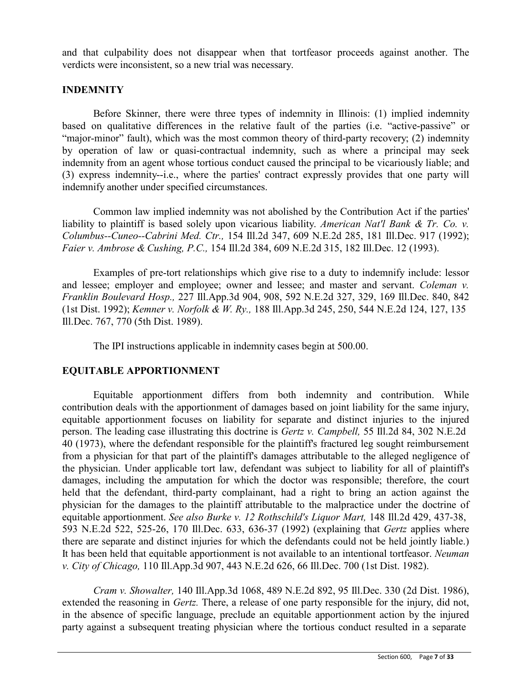and that culpability does not disappear when that tortfeasor proceeds against another. The verdicts were inconsistent, so a new trial was necessary.

# **INDEMNITY**

Before Skinner, there were three types of indemnity in Illinois: (1) implied indemnity based on qualitative differences in the relative fault of the parties (i.e. "active-passive" or "major-minor" fault), which was the most common theory of third-party recovery; (2) indemnity by operation of law or quasi-contractual indemnity, such as where a principal may seek indemnity from an agent whose tortious conduct caused the principal to be vicariously liable; and (3) express indemnity--i.e., where the parties' contract expressly provides that one party will indemnify another under specified circumstances.

Common law implied indemnity was not abolished by the Contribution Act if the parties' liability to plaintiff is based solely upon vicarious liability. *American Nat'l Bank & Tr. Co. v. Columbus--Cuneo--Cabrini Med. Ctr.,* 154 Ill.2d 347, 609 N.E.2d 285, 181 Ill.Dec. 917 (1992); *Faier v. Ambrose & Cushing, P.C.,* 154 Ill.2d 384, 609 N.E.2d 315, 182 Ill.Dec. 12 (1993).

Examples of pre-tort relationships which give rise to a duty to indemnify include: lessor and lessee; employer and employee; owner and lessee; and master and servant. *Coleman v. Franklin Boulevard Hosp.,* 227 Ill.App.3d 904, 908, 592 N.E.2d 327, 329, 169 Ill.Dec. 840, 842 (1st Dist. 1992); *Kemner v. Norfolk & W. Ry.,* 188 Ill.App.3d 245, 250, 544 N.E.2d 124, 127, 135 Ill.Dec. 767, 770 (5th Dist. 1989).

The IPI instructions applicable in indemnity cases begin at 500.00.

# **EQUITABLE APPORTIONMENT**

Equitable apportionment differs from both indemnity and contribution. While contribution deals with the apportionment of damages based on joint liability for the same injury, equitable apportionment focuses on liability for separate and distinct injuries to the injured person. The leading case illustrating this doctrine is *Gertz v. Campbell,* 55 Ill.2d 84, 302 N.E.2d 40 (1973), where the defendant responsible for the plaintiff's fractured leg sought reimbursement from a physician for that part of the plaintiff's damages attributable to the alleged negligence of the physician. Under applicable tort law, defendant was subject to liability for all of plaintiff's damages, including the amputation for which the doctor was responsible; therefore, the court held that the defendant, third-party complainant, had a right to bring an action against the physician for the damages to the plaintiff attributable to the malpractice under the doctrine of equitable apportionment. *See also Burke v. 12 Rothschild's Liquor Mart,* 148 Ill.2d 429, 437-38, 593 N.E.2d 522, 525-26, 170 Ill.Dec. 633, 636-37 (1992) (explaining that *Gertz* applies where there are separate and distinct injuries for which the defendants could not be held jointly liable.) It has been held that equitable apportionment is not available to an intentional tortfeasor. *Neuman v. City of Chicago,* 110 Ill.App.3d 907, 443 N.E.2d 626, 66 Ill.Dec. 700 (1st Dist. 1982).

*Cram v. Showalter,* 140 Ill.App.3d 1068, 489 N.E.2d 892, 95 Ill.Dec. 330 (2d Dist. 1986), extended the reasoning in *Gertz.* There, a release of one party responsible for the injury, did not, in the absence of specific language, preclude an equitable apportionment action by the injured party against a subsequent treating physician where the tortious conduct resulted in a separate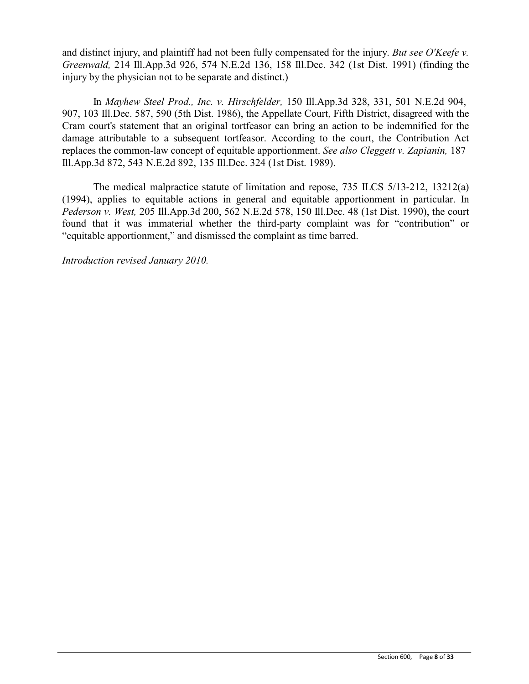and distinct injury, and plaintiff had not been fully compensated for the injury. *But see O'Keefe v. Greenwald,* 214 Ill.App.3d 926, 574 N.E.2d 136, 158 Ill.Dec. 342 (1st Dist. 1991) (finding the injury by the physician not to be separate and distinct.)

In *Mayhew Steel Prod., Inc. v. Hirschfelder,* 150 Ill.App.3d 328, 331, 501 N.E.2d 904, 907, 103 Ill.Dec. 587, 590 (5th Dist. 1986), the Appellate Court, Fifth District, disagreed with the Cram court's statement that an original tortfeasor can bring an action to be indemnified for the damage attributable to a subsequent tortfeasor. According to the court, the Contribution Act replaces the common-law concept of equitable apportionment. *See also Cleggett v. Zapianin,* 187 Ill.App.3d 872, 543 N.E.2d 892, 135 Ill.Dec. 324 (1st Dist. 1989).

The medical malpractice statute of limitation and repose, 735 ILCS 5/13-212, 13212(a) (1994), applies to equitable actions in general and equitable apportionment in particular. In *Pederson v. West,* 205 Ill.App.3d 200, 562 N.E.2d 578, 150 Ill.Dec. 48 (1st Dist. 1990), the court found that it was immaterial whether the third-party complaint was for "contribution" or "equitable apportionment," and dismissed the complaint as time barred.

*Introduction revised January 2010.*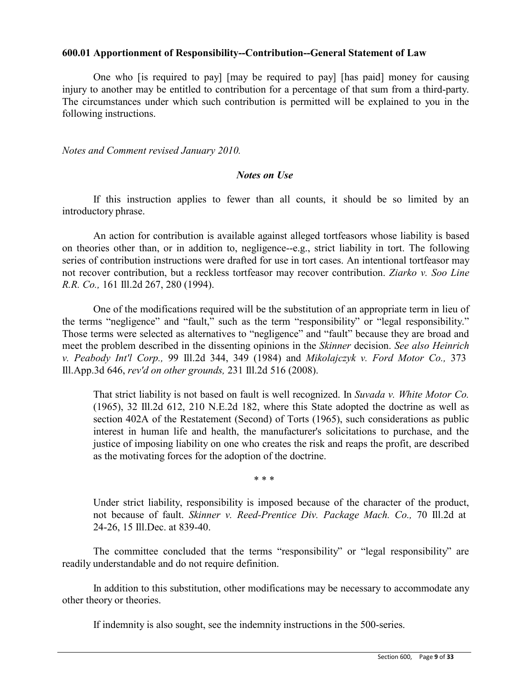### **600.01 Apportionment of Responsibility--Contribution--General Statement of Law**

One who [is required to pay] [may be required to pay] [has paid] money for causing injury to another may be entitled to contribution for a percentage of that sum from a third-party. The circumstances under which such contribution is permitted will be explained to you in the following instructions.

*Notes and Comment revised January 2010.*

## *Notes on Use*

If this instruction applies to fewer than all counts, it should be so limited by an introductory phrase.

An action for contribution is available against alleged tortfeasors whose liability is based on theories other than, or in addition to, negligence--e.g., strict liability in tort. The following series of contribution instructions were drafted for use in tort cases. An intentional tortfeasor may not recover contribution, but a reckless tortfeasor may recover contribution. *Ziarko v. Soo Line R.R. Co.,* 161 Ill.2d 267, 280 (1994).

One of the modifications required will be the substitution of an appropriate term in lieu of the terms "negligence" and "fault," such as the term "responsibility" or "legal responsibility." Those terms were selected as alternatives to "negligence" and "fault" because they are broad and meet the problem described in the dissenting opinions in the *Skinner* decision. *See also Heinrich v. Peabody Int'l Corp.,* 99 Ill.2d 344, 349 (1984) and *Mikolajczyk v. Ford Motor Co.,* 373 Ill.App.3d 646, *rev'd on other grounds,* 231 Ill.2d 516 (2008).

That strict liability is not based on fault is well recognized. In *Suvada v. White Motor Co.*  (1965), 32 Ill.2d 612, 210 N.E.2d 182, where this State adopted the doctrine as well as section 402A of the Restatement (Second) of Torts (1965), such considerations as public interest in human life and health, the manufacturer's solicitations to purchase, and the justice of imposing liability on one who creates the risk and reaps the profit, are described as the motivating forces for the adoption of the doctrine.

\* \* \*

Under strict liability, responsibility is imposed because of the character of the product, not because of fault. *Skinner v. Reed-Prentice Div. Package Mach. Co.,* 70 Ill.2d at 24-26, 15 Ill.Dec. at 839-40.

The committee concluded that the terms "responsibility" or "legal responsibility" are readily understandable and do not require definition.

In addition to this substitution, other modifications may be necessary to accommodate any other theory or theories.

If indemnity is also sought, see the indemnity instructions in the 500-series.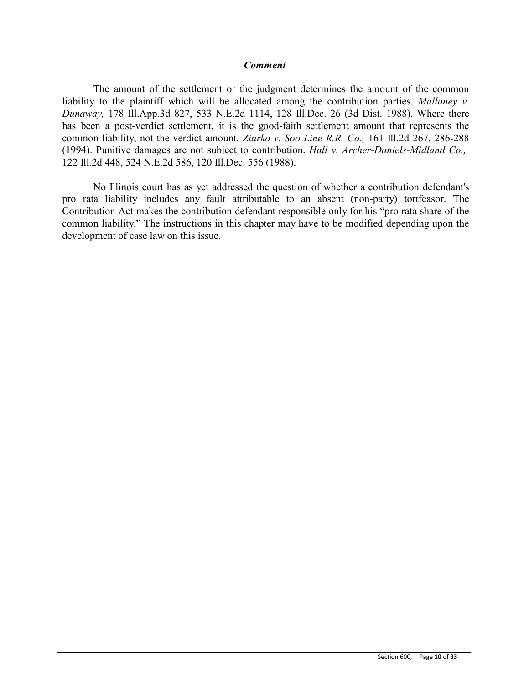### *Comment*

The amount of the settlement or the judgment determines the amount of the common liability to the plaintiff which will be allocated among the contribution parties. *Mallaney v. Dunaway,* 178 Ill.App.3d 827, 533 N.E.2d 1114, 128 Ill.Dec. 26 (3d Dist. 1988). Where there has been a post-verdict settlement, it is the good-faith settlement amount that represents the common liability, not the verdict amount. *Ziarko v. Soo Line R.R. Co.,* 161 Ill.2d 267, 286-288 (1994). Punitive damages are not subject to contribution. *Hall v. Archer-Daniels-Midland Co.,* 122 Ill.2d 448, 524 N.E.2d 586, 120 Ill.Dec. 556 (1988).

No Illinois court has as yet addressed the question of whether a contribution defendant's pro rata liability includes any fault attributable to an absent (non-party) tortfeasor. The Contribution Act makes the contribution defendant responsible only for his "pro rata share of the common liability." The instructions in this chapter may have to be modified depending upon the development of case law on this issue.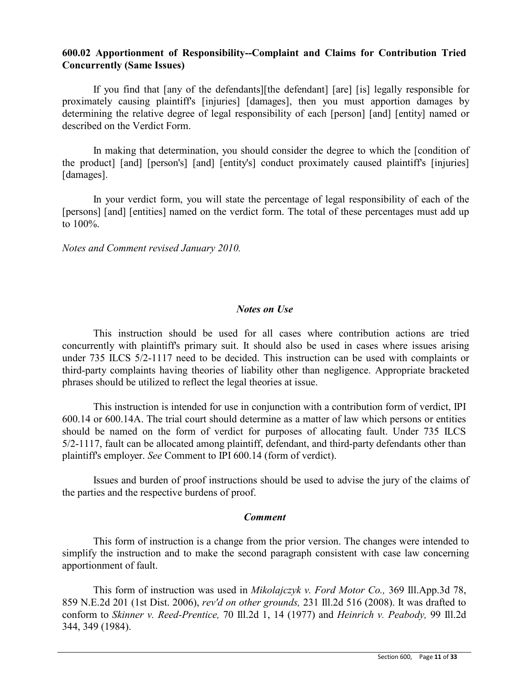# **600.02 Apportionment of Responsibility--Complaint and Claims for Contribution Tried Concurrently (Same Issues)**

If you find that [any of the defendants][the defendant] [are] [is] legally responsible for proximately causing plaintiff's [injuries] [damages], then you must apportion damages by determining the relative degree of legal responsibility of each [person] [and] [entity] named or described on the Verdict Form.

In making that determination, you should consider the degree to which the [condition of the product] [and] [person's] [and] [entity's] conduct proximately caused plaintiff's [injuries] [damages].

In your verdict form, you will state the percentage of legal responsibility of each of the [persons] [and] [entities] named on the verdict form. The total of these percentages must add up to 100%.

*Notes and Comment revised January 2010.*

### *Notes on Use*

This instruction should be used for all cases where contribution actions are tried concurrently with plaintiff's primary suit. It should also be used in cases where issues arising under 735 ILCS 5/2-1117 need to be decided. This instruction can be used with complaints or third-party complaints having theories of liability other than negligence. Appropriate bracketed phrases should be utilized to reflect the legal theories at issue.

This instruction is intended for use in conjunction with a contribution form of verdict, IPI 600.14 or 600.14A. The trial court should determine as a matter of law which persons or entities should be named on the form of verdict for purposes of allocating fault. Under 735 ILCS 5/2-1117, fault can be allocated among plaintiff, defendant, and third-party defendants other than plaintiff's employer. *See* Comment to IPI 600.14 (form of verdict).

Issues and burden of proof instructions should be used to advise the jury of the claims of the parties and the respective burdens of proof.

### *Comment*

This form of instruction is a change from the prior version. The changes were intended to simplify the instruction and to make the second paragraph consistent with case law concerning apportionment of fault.

This form of instruction was used in *Mikolajczyk v. Ford Motor Co.,* 369 Ill.App.3d 78, 859 N.E.2d 201 (1st Dist. 2006), *rev'd on other grounds,* 231 Ill.2d 516 (2008). It was drafted to conform to *Skinner v. Reed-Prentice,* 70 Ill.2d 1, 14 (1977) and *Heinrich v. Peabody,* 99 Ill.2d 344, 349 (1984).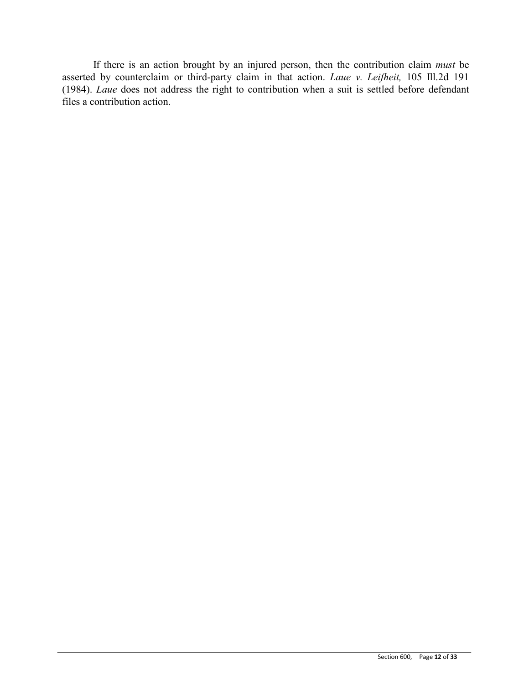If there is an action brought by an injured person, then the contribution claim *must* be asserted by counterclaim or third-party claim in that action. *Laue v. Leifheit,* 105 Ill.2d 191 (1984). *Laue* does not address the right to contribution when a suit is settled before defendant files a contribution action.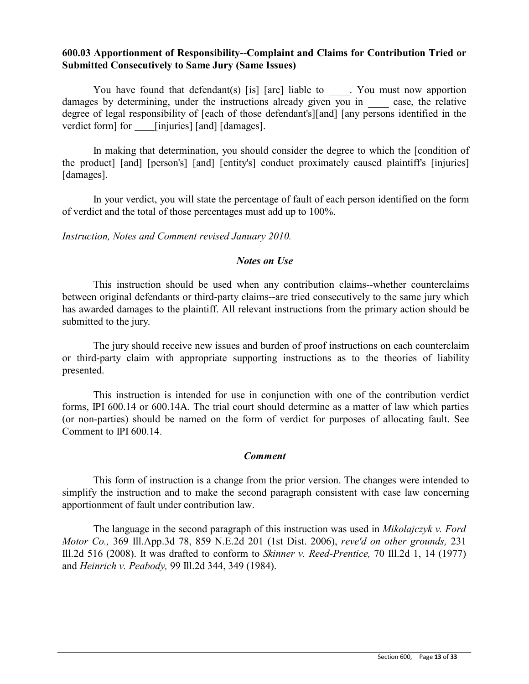## **600.03 Apportionment of Responsibility--Complaint and Claims for Contribution Tried or Submitted Consecutively to Same Jury (Same Issues)**

You have found that defendant(s) [is] [are] liable to . You must now apportion damages by determining, under the instructions already given you in case, the relative degree of legal responsibility of [each of those defendant's][and] [any persons identified in the verdict form] for [injuries] [and] [damages].

In making that determination, you should consider the degree to which the [condition of the product] [and] [person's] [and] [entity's] conduct proximately caused plaintiff's [injuries] [damages].

In your verdict, you will state the percentage of fault of each person identified on the form of verdict and the total of those percentages must add up to 100%.

*Instruction, Notes and Comment revised January 2010.*

### *Notes on Use*

This instruction should be used when any contribution claims--whether counterclaims between original defendants or third-party claims--are tried consecutively to the same jury which has awarded damages to the plaintiff. All relevant instructions from the primary action should be submitted to the jury.

The jury should receive new issues and burden of proof instructions on each counterclaim or third-party claim with appropriate supporting instructions as to the theories of liability presented.

This instruction is intended for use in conjunction with one of the contribution verdict forms, IPI 600.14 or 600.14A. The trial court should determine as a matter of law which parties (or non-parties) should be named on the form of verdict for purposes of allocating fault. See Comment to IPI 600.14.

### *Comment*

This form of instruction is a change from the prior version. The changes were intended to simplify the instruction and to make the second paragraph consistent with case law concerning apportionment of fault under contribution law.

The language in the second paragraph of this instruction was used in *Mikolajczyk v. Ford Motor Co.,* 369 Ill.App.3d 78, 859 N.E.2d 201 (1st Dist. 2006), *reve'd on other grounds,* 231 Ill.2d 516 (2008). It was drafted to conform to *Skinner v. Reed-Prentice,* 70 Ill.2d 1, 14 (1977) and *Heinrich v. Peabody,* 99 Ill.2d 344, 349 (1984).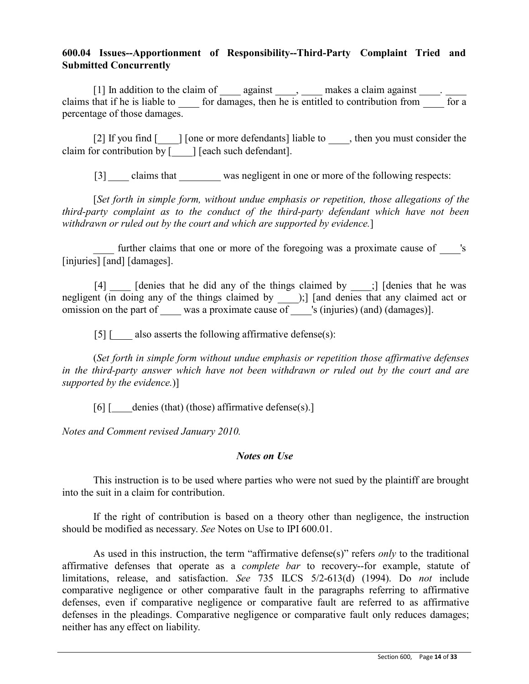# **600.04 Issues--Apportionment of Responsibility--Third-Party Complaint Tried and Submitted Concurrently**

[1] In addition to the claim of  $\_\_\_\_$  against  $\_\_\_\_\$  makes a claim against  $\_\_\_\_\$ . claims that if he is liable to  $\qquad$  for damages, then he is entitled to contribution from  $\qquad$  for a percentage of those damages.

[2] If you find [ ] [one or more defendants] liable to find the you must consider the claim for contribution by [iiin] [each such defendant].

[3] claims that was negligent in one or more of the following respects:

[*Set forth in simple form, without undue emphasis or repetition, those allegations of the third-party complaint as to the conduct of the third-party defendant which have not been withdrawn or ruled out by the court and which are supported by evidence.*]

further claims that one or more of the foregoing was a proximate cause of 's [injuries] [and] [damages].

[4] [denies that he did any of the things claimed by ;] [denies that he was negligent (in doing any of the things claimed by \_\_\_\_\_\_);] [and denies that any claimed act or omission on the part of was a proximate cause of was is (injuries) (and) (damages)].

[5] [ also asserts the following affirmative defense(s):

(*Set forth in simple form without undue emphasis or repetition those affirmative defenses in the third-party answer which have not been withdrawn or ruled out by the court and are supported by the evidence.*)]

[6] [ denies (that) (those) affirmative defense(s).]

*Notes and Comment revised January 2010.*

### *Notes on Use*

This instruction is to be used where parties who were not sued by the plaintiff are brought into the suit in a claim for contribution.

If the right of contribution is based on a theory other than negligence, the instruction should be modified as necessary. *See* Notes on Use to IPI 600.01.

As used in this instruction, the term "affirmative defense(s)" refers *only* to the traditional affirmative defenses that operate as a *complete bar* to recovery--for example, statute of limitations, release, and satisfaction. *See* 735 ILCS 5/2-613(d) (1994). Do *not* include comparative negligence or other comparative fault in the paragraphs referring to affirmative defenses, even if comparative negligence or comparative fault are referred to as affirmative defenses in the pleadings. Comparative negligence or comparative fault only reduces damages; neither has any effect on liability.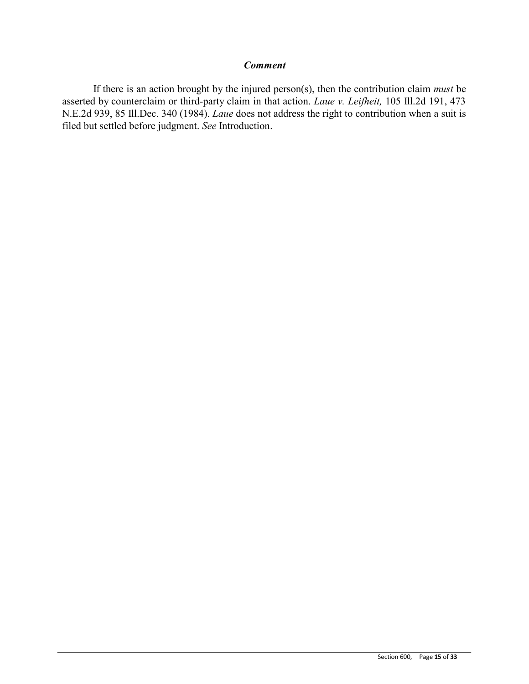### *Comment*

If there is an action brought by the injured person(s), then the contribution claim *must* be asserted by counterclaim or third-party claim in that action. *Laue v. Leifheit,* 105 Ill.2d 191, 473 N.E.2d 939, 85 Ill.Dec. 340 (1984). *Laue* does not address the right to contribution when a suit is filed but settled before judgment. *See* Introduction.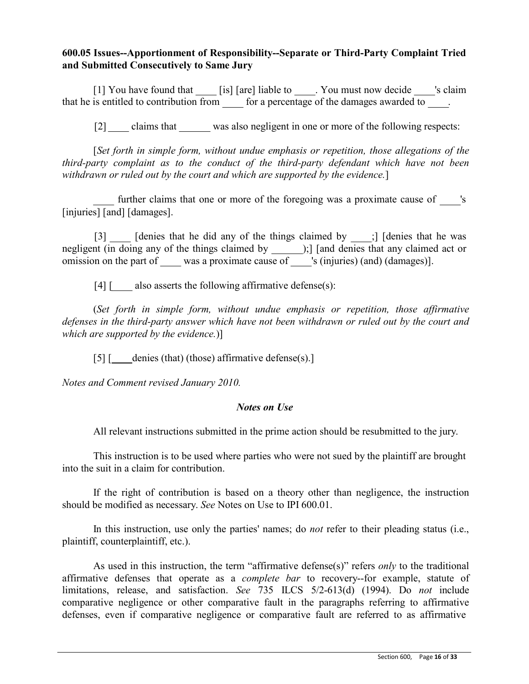# **600.05 Issues--Apportionment of Responsibility--Separate or Third-Party Complaint Tried and Submitted Consecutively to Same Jury**

[1] You have found that [is] [are] liable to . You must now decide 's claim that he is entitled to contribution from for a percentage of the damages awarded to.

[2] claims that was also negligent in one or more of the following respects:

[*Set forth in simple form, without undue emphasis or repetition, those allegations of the third-party complaint as to the conduct of the third-party defendant which have not been withdrawn or ruled out by the court and which are supported by the evidence.*]

further claims that one or more of the foregoing was a proximate cause of 's [injuries] [and] [damages].

[3] [denies that he did any of the things claimed by \_\_\_\_;] [denies that he was negligent (in doing any of the things claimed by );] [and denies that any claimed act or omission on the part of was a proximate cause of was is (injuries) (and) (damages)].

[4]  $\lceil 4 \rceil$  also asserts the following affirmative defense(s):

(*Set forth in simple form, without undue emphasis or repetition, those affirmative defenses in the third-party answer which have not been withdrawn or ruled out by the court and which are supported by the evidence.*)]

[5] [ denies (that) (those) affirmative defense(s).]

*Notes and Comment revised January 2010.*

# *Notes on Use*

All relevant instructions submitted in the prime action should be resubmitted to the jury.

This instruction is to be used where parties who were not sued by the plaintiff are brought into the suit in a claim for contribution.

If the right of contribution is based on a theory other than negligence, the instruction should be modified as necessary. *See* Notes on Use to IPI 600.01.

In this instruction, use only the parties' names; do *not* refer to their pleading status (i.e., plaintiff, counterplaintiff, etc.).

As used in this instruction, the term "affirmative defense(s)" refers *only* to the traditional affirmative defenses that operate as a *complete bar* to recovery--for example, statute of limitations, release, and satisfaction. *See* 735 ILCS 5/2-613(d) (1994). Do *not* include comparative negligence or other comparative fault in the paragraphs referring to affirmative defenses, even if comparative negligence or comparative fault are referred to as affirmative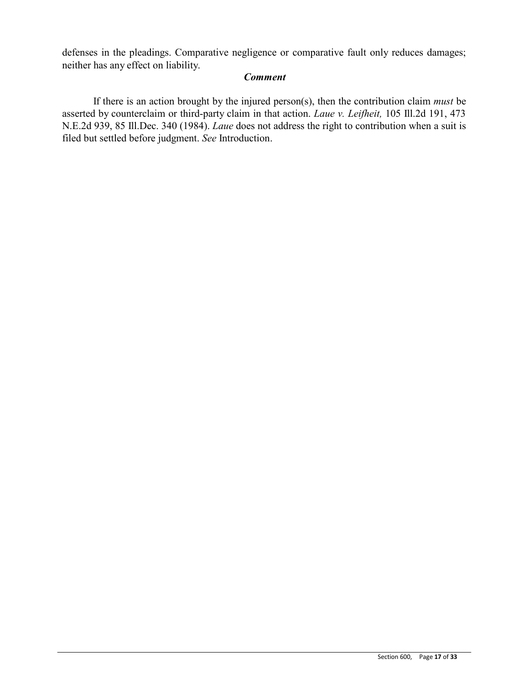defenses in the pleadings. Comparative negligence or comparative fault only reduces damages; neither has any effect on liability.

# *Comment*

If there is an action brought by the injured person(s), then the contribution claim *must* be asserted by counterclaim or third-party claim in that action. *Laue v. Leifheit,* 105 Ill.2d 191, 473 N.E.2d 939, 85 Ill.Dec. 340 (1984). *Laue* does not address the right to contribution when a suit is filed but settled before judgment. *See* Introduction.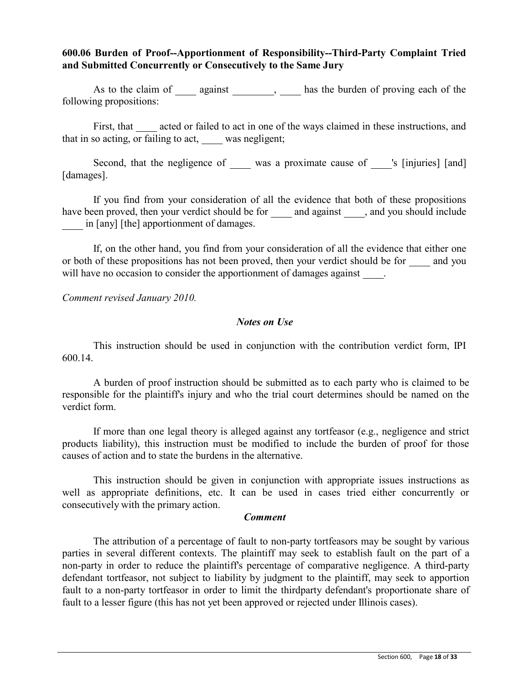# **600.06 Burden of Proof--Apportionment of Responsibility--Third-Party Complaint Tried and Submitted Concurrently or Consecutively to the Same Jury**

As to the claim of against , has the burden of proving each of the following propositions:

First, that acted or failed to act in one of the ways claimed in these instructions, and that in so acting, or failing to act, was negligent;

Second, that the negligence of was a proximate cause of same is [injuries] [and] [damages].

If you find from your consideration of all the evidence that both of these propositions have been proved, then your verdict should be for \_\_\_\_\_\_ and against \_\_\_\_\_, and you should include in [any] [the] apportionment of damages.

If, on the other hand, you find from your consideration of all the evidence that either one or both of these propositions has not been proved, then your verdict should be for and you will have no occasion to consider the apportionment of damages against.

*Comment revised January 2010.*

### *Notes on Use*

This instruction should be used in conjunction with the contribution verdict form, IPI 600.14.

A burden of proof instruction should be submitted as to each party who is claimed to be responsible for the plaintiff's injury and who the trial court determines should be named on the verdict form.

If more than one legal theory is alleged against any tortfeasor (e.g., negligence and strict products liability), this instruction must be modified to include the burden of proof for those causes of action and to state the burdens in the alternative.

This instruction should be given in conjunction with appropriate issues instructions as well as appropriate definitions, etc. It can be used in cases tried either concurrently or consecutively with the primary action.

### *Comment*

The attribution of a percentage of fault to non-party tortfeasors may be sought by various parties in several different contexts. The plaintiff may seek to establish fault on the part of a non-party in order to reduce the plaintiff's percentage of comparative negligence. A third-party defendant tortfeasor, not subject to liability by judgment to the plaintiff, may seek to apportion fault to a non-party tortfeasor in order to limit the thirdparty defendant's proportionate share of fault to a lesser figure (this has not yet been approved or rejected under Illinois cases).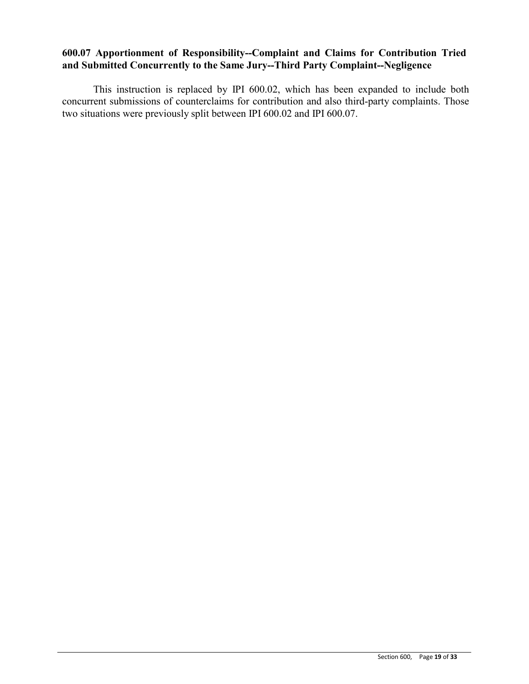# **600.07 Apportionment of Responsibility--Complaint and Claims for Contribution Tried and Submitted Concurrently to the Same Jury--Third Party Complaint--Negligence**

This instruction is replaced by IPI 600.02, which has been expanded to include both concurrent submissions of counterclaims for contribution and also third-party complaints. Those two situations were previously split between IPI 600.02 and IPI 600.07.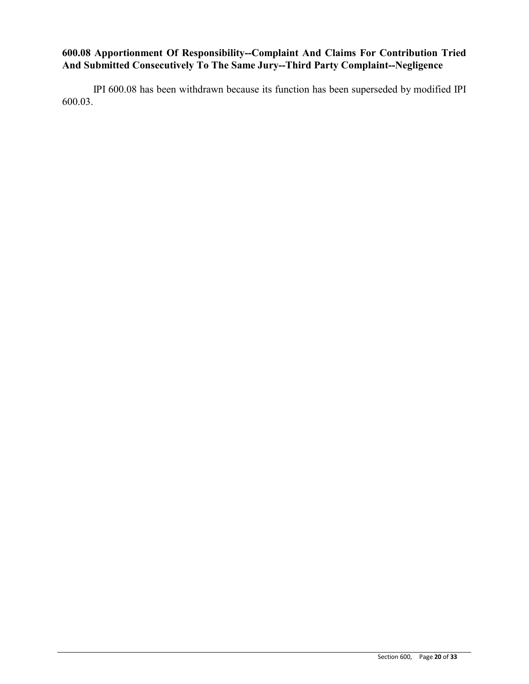# **600.08 Apportionment Of Responsibility--Complaint And Claims For Contribution Tried And Submitted Consecutively To The Same Jury--Third Party Complaint--Negligence**

IPI 600.08 has been withdrawn because its function has been superseded by modified IPI 600.03.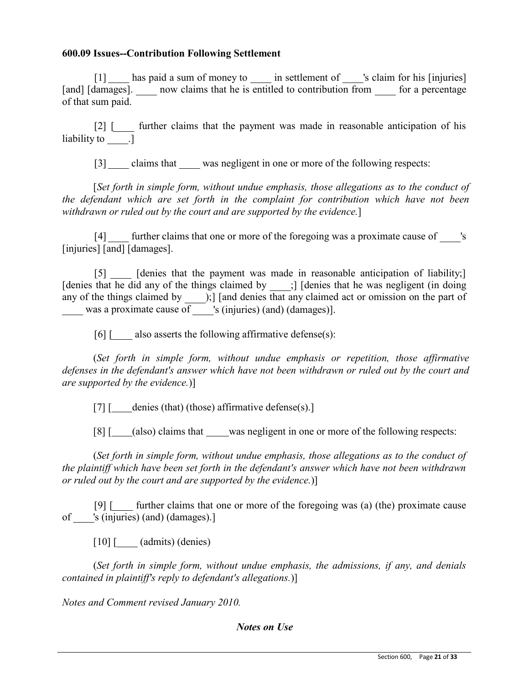## **600.09 Issues--Contribution Following Settlement**

[1] has paid a sum of money to in settlement of 's claim for his [injuries] [and] [damages]. The now claims that he is entitled to contribution from for a percentage of that sum paid.

[2] [ further claims that the payment was made in reasonable anticipation of his liability to \_\_\_\_\_\_.]

[3] claims that was negligent in one or more of the following respects:

[*Set forth in simple form, without undue emphasis, those allegations as to the conduct of the defendant which are set forth in the complaint for contribution which have not been withdrawn or ruled out by the court and are supported by the evidence.*]

[4] further claims that one or more of the foregoing was a proximate cause of 's [injuries] [and] [damages].

[5] [denies that the payment was made in reasonable anticipation of liability;] [denies that he did any of the things claimed by \_\_\_\_;] [denies that he was negligent (in doing any of the things claimed by was a proximate cause of );] [and denies that any claimed act or omission on the part of 's (injuries) (and) (damages)].

[6] [ also asserts the following affirmative defense(s):

(*Set forth in simple form, without undue emphasis or repetition, those affirmative defenses in the defendant's answer which have not been withdrawn or ruled out by the court and are supported by the evidence.*)]

[7]  $[$  denies (that) (those) affirmative defense(s).]

[8] [ (also) claims that was negligent in one or more of the following respects:

(*Set forth in simple form, without undue emphasis, those allegations as to the conduct of the plaintiff which have been set forth in the defendant's answer which have not been withdrawn or ruled out by the court and are supported by the evidence.*)]

[9] [ further claims that one or more of the foregoing was (a) (the) proximate cause of 's (injuries) (and) (damages).]

[10] [ (admits) (denies)

(*Set forth in simple form, without undue emphasis, the admissions, if any, and denials contained in plaintiff's reply to defendant's allegations.*)]

*Notes and Comment revised January 2010.*

*Notes on Use*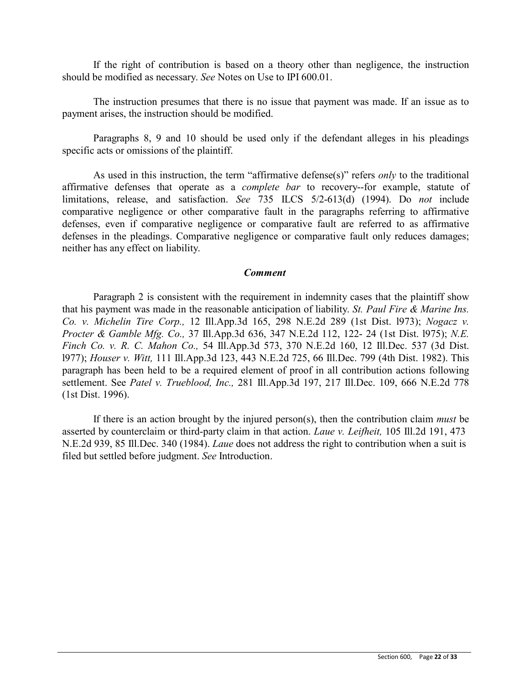If the right of contribution is based on a theory other than negligence, the instruction should be modified as necessary. *See* Notes on Use to IPI 600.01.

The instruction presumes that there is no issue that payment was made. If an issue as to payment arises, the instruction should be modified.

Paragraphs 8, 9 and 10 should be used only if the defendant alleges in his pleadings specific acts or omissions of the plaintiff.

As used in this instruction, the term "affirmative defense(s)" refers *only* to the traditional affirmative defenses that operate as a *complete bar* to recovery--for example, statute of limitations, release, and satisfaction. *See* 735 ILCS 5/2-613(d) (1994). Do *not* include comparative negligence or other comparative fault in the paragraphs referring to affirmative defenses, even if comparative negligence or comparative fault are referred to as affirmative defenses in the pleadings. Comparative negligence or comparative fault only reduces damages; neither has any effect on liability.

### *Comment*

Paragraph 2 is consistent with the requirement in indemnity cases that the plaintiff show that his payment was made in the reasonable anticipation of liability. *St. Paul Fire & Marine Ins. Co. v. Michelin Tire Corp.,* 12 Ill.App.3d 165, 298 N.E.2d 289 (1st Dist. l973); *Nogacz v. Procter & Gamble Mfg. Co.,* 37 Ill.App.3d 636, 347 N.E.2d 112, 122- 24 (1st Dist. l975); *N.E. Finch Co. v. R. C. Mahon Co.,* 54 Ill.App.3d 573, 370 N.E.2d 160, 12 Ill.Dec. 537 (3d Dist. l977); *Houser v. Witt,* 111 Ill.App.3d 123, 443 N.E.2d 725, 66 Ill.Dec. 799 (4th Dist. 1982). This paragraph has been held to be a required element of proof in all contribution actions following settlement. See *Patel v. Trueblood, Inc.,* 281 Ill.App.3d 197, 217 Ill.Dec. 109, 666 N.E.2d 778 (1st Dist. 1996).

If there is an action brought by the injured person(s), then the contribution claim *must* be asserted by counterclaim or third-party claim in that action. *Laue v. Leifheit,* 105 Ill.2d 191, 473 N.E.2d 939, 85 Ill.Dec. 340 (1984). *Laue* does not address the right to contribution when a suit is filed but settled before judgment. *See* Introduction.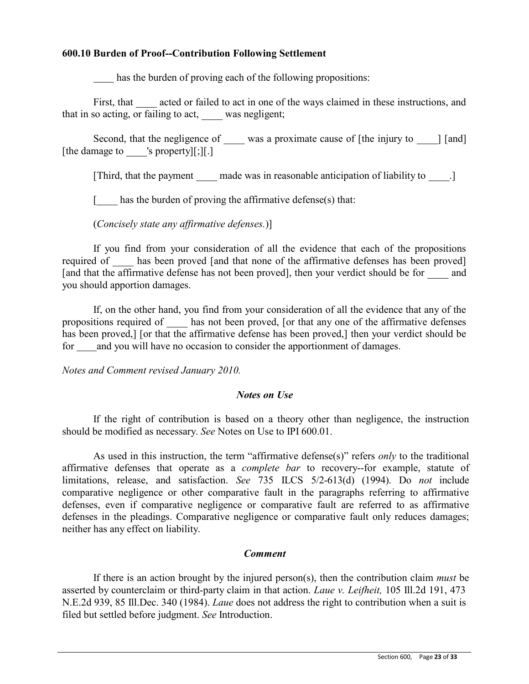## **600.10 Burden of Proof--Contribution Following Settlement**

has the burden of proving each of the following propositions:

First, that acted or failed to act in one of the ways claimed in these instructions, and that in so acting, or failing to act, was negligent;

Second, that the negligence of \_\_\_\_\_ was a proximate cause of [the injury to \_\_\_\_\_] [and] [the damage to 's property][;][.]

[Third, that the payment made was in reasonable anticipation of liability to .]

[ has the burden of proving the affirmative defense(s) that:

(*Concisely state any affirmative defenses.*)]

If you find from your consideration of all the evidence that each of the propositions required of has been proved [and that none of the affirmative defenses has been proved] [and that the affirmative defense has not been proved], then your verdict should be for and you should apportion damages.

If, on the other hand, you find from your consideration of all the evidence that any of the propositions required of has not been proved, [or that any one of the affirmative defenses has been proved.] [or that the affirmative defense has been proved.] then your verdict should be for and you will have no occasion to consider the apportionment of damages.

*Notes and Comment revised January 2010.*

### *Notes on Use*

If the right of contribution is based on a theory other than negligence, the instruction should be modified as necessary. *See* Notes on Use to IPI 600.01.

As used in this instruction, the term "affirmative defense(s)" refers *only* to the traditional affirmative defenses that operate as a *complete bar* to recovery--for example, statute of limitations, release, and satisfaction. *See* 735 ILCS 5/2-613(d) (1994). Do *not* include comparative negligence or other comparative fault in the paragraphs referring to affirmative defenses, even if comparative negligence or comparative fault are referred to as affirmative defenses in the pleadings. Comparative negligence or comparative fault only reduces damages; neither has any effect on liability.

# *Comment*

If there is an action brought by the injured person(s), then the contribution claim *must* be asserted by counterclaim or third-party claim in that action. *Laue v. Leifheit,* 105 Ill.2d 191, 473 N.E.2d 939, 85 Ill.Dec. 340 (1984). *Laue* does not address the right to contribution when a suit is filed but settled before judgment. *See* Introduction.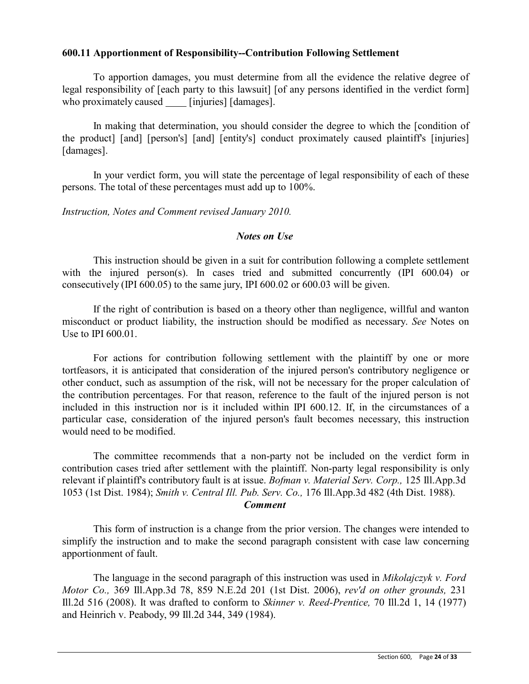## **600.11 Apportionment of Responsibility--Contribution Following Settlement**

To apportion damages, you must determine from all the evidence the relative degree of legal responsibility of [each party to this lawsuit] [of any persons identified in the verdict form] who proximately caused [injuries] [damages].

In making that determination, you should consider the degree to which the [condition of the product] [and] [person's] [and] [entity's] conduct proximately caused plaintiff's [injuries] [damages].

In your verdict form, you will state the percentage of legal responsibility of each of these persons. The total of these percentages must add up to 100%.

*Instruction, Notes and Comment revised January 2010.*

## *Notes on Use*

This instruction should be given in a suit for contribution following a complete settlement with the injured person(s). In cases tried and submitted concurrently (IPI 600.04) or consecutively (IPI 600.05) to the same jury, IPI 600.02 or 600.03 will be given.

If the right of contribution is based on a theory other than negligence, willful and wanton misconduct or product liability, the instruction should be modified as necessary. *See* Notes on Use to IPI 600.01.

For actions for contribution following settlement with the plaintiff by one or more tortfeasors, it is anticipated that consideration of the injured person's contributory negligence or other conduct, such as assumption of the risk, will not be necessary for the proper calculation of the contribution percentages. For that reason, reference to the fault of the injured person is not included in this instruction nor is it included within IPI 600.12. If, in the circumstances of a particular case, consideration of the injured person's fault becomes necessary, this instruction would need to be modified.

The committee recommends that a non-party not be included on the verdict form in contribution cases tried after settlement with the plaintiff. Non-party legal responsibility is only relevant if plaintiff's contributory fault is at issue. *Bofman v. Material Serv. Corp.,* 125 Ill.App.3d 1053 (1st Dist. 1984); *Smith v. Central Ill. Pub. Serv. Co.,* 176 Ill.App.3d 482 (4th Dist. 1988).

### *Comment*

This form of instruction is a change from the prior version. The changes were intended to simplify the instruction and to make the second paragraph consistent with case law concerning apportionment of fault.

The language in the second paragraph of this instruction was used in *Mikolajczyk v. Ford Motor Co.,* 369 Ill.App.3d 78, 859 N.E.2d 201 (1st Dist. 2006), *rev'd on other grounds,* 231 Ill.2d 516 (2008). It was drafted to conform to *Skinner v. Reed-Prentice,* 70 Ill.2d 1, 14 (1977) and Heinrich v. Peabody, 99 Ill.2d 344, 349 (1984).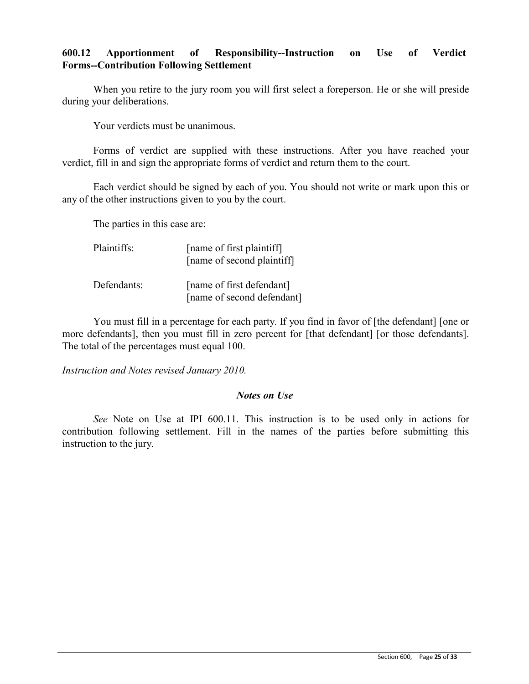## **600.12 Apportionment of Responsibility--Instruction on Use of Verdict Forms--Contribution Following Settlement**

When you retire to the jury room you will first select a foreperson. He or she will preside during your deliberations.

Your verdicts must be unanimous.

Forms of verdict are supplied with these instructions. After you have reached your verdict, fill in and sign the appropriate forms of verdict and return them to the court.

Each verdict should be signed by each of you. You should not write or mark upon this or any of the other instructions given to you by the court.

The parties in this case are:

| Plaintiffs: | [name of first plaintiff]<br>[name of second plaintiff] |
|-------------|---------------------------------------------------------|
| Defendants: | [name of first defendant]<br>[name of second defendant] |

You must fill in a percentage for each party. If you find in favor of [the defendant] [one or more defendants], then you must fill in zero percent for [that defendant] [or those defendants]. The total of the percentages must equal 100.

*Instruction and Notes revised January 2010.*

### *Notes on Use*

*See* Note on Use at IPI 600.11. This instruction is to be used only in actions for contribution following settlement. Fill in the names of the parties before submitting this instruction to the jury.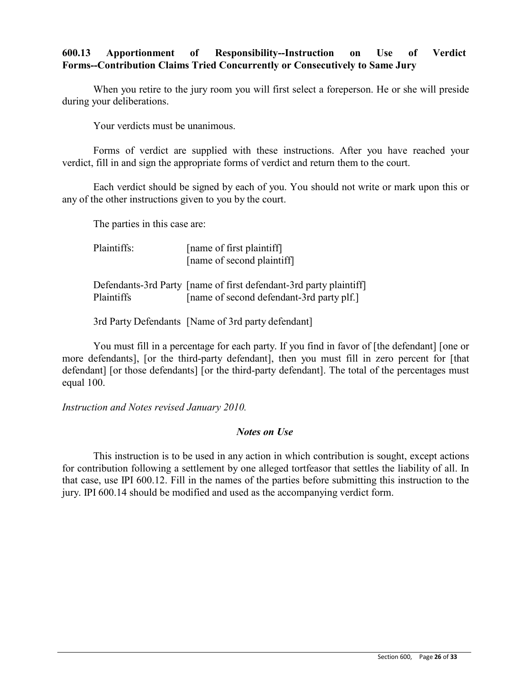# **600.13 Apportionment of Responsibility--Instruction on Use of Verdict Forms--Contribution Claims Tried Concurrently or Consecutively to Same Jury**

When you retire to the jury room you will first select a foreperson. He or she will preside during your deliberations.

Your verdicts must be unanimous.

Forms of verdict are supplied with these instructions. After you have reached your verdict, fill in and sign the appropriate forms of verdict and return them to the court.

Each verdict should be signed by each of you. You should not write or mark upon this or any of the other instructions given to you by the court.

The parties in this case are:

Plaintiffs: [name of first plaintiff] [name of second plaintiff]

Defendants-3rd Party [name of first defendant-3rd party plaintiff] Plaintiffs [name of second defendant-3rd party plf.]

3rd Party Defendants [Name of 3rd party defendant]

You must fill in a percentage for each party. If you find in favor of [the defendant] [one or more defendants], [or the third-party defendant], then you must fill in zero percent for [that defendant] [or those defendants] [or the third-party defendant]. The total of the percentages must equal 100.

*Instruction and Notes revised January 2010.*

### *Notes on Use*

This instruction is to be used in any action in which contribution is sought, except actions for contribution following a settlement by one alleged tortfeasor that settles the liability of all. In that case, use IPI 600.12. Fill in the names of the parties before submitting this instruction to the jury. IPI 600.14 should be modified and used as the accompanying verdict form.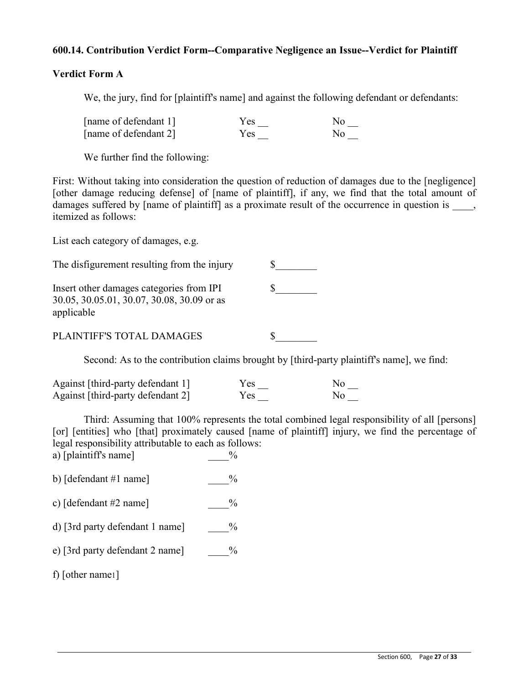## **600.14. Contribution Verdict Form--Comparative Negligence an Issue--Verdict for Plaintiff**

## **Verdict Form A**

We, the jury, find for [plaintiff's name] and against the following defendant or defendants:

| [name of defendant 1] | Yes | N٥             |
|-----------------------|-----|----------------|
| [name of defendant 2] | Yes | N <sub>0</sub> |

We further find the following:

First: Without taking into consideration the question of reduction of damages due to the [negligence] [other damage reducing defense] of [name of plaintiff], if any, we find that the total amount of damages suffered by [name of plaintiff] as a proximate result of the occurrence in question is  $\blacksquare$ , itemized as follows:

List each category of damages, e.g.

| The disfigurement resulting from the injury                                                          |  |
|------------------------------------------------------------------------------------------------------|--|
| Insert other damages categories from IPI<br>30.05, 30.05.01, 30.07, 30.08, 30.09 or as<br>applicable |  |
| PLAINTIFF'S TOTAL DAMAGES                                                                            |  |

Second: As to the contribution claims brought by [third-party plaintiff's name], we find:

| Against [third-party defendant 1] | Yes | No. |
|-----------------------------------|-----|-----|
| Against [third-party defendant 2] | Yes | Nο  |

Third: Assuming that 100% represents the total combined legal responsibility of all [persons] [or] [entities] who [that] proximately caused [name of plaintiff] injury, we find the percentage of legal responsibility attributable to each as follows: a) [plaintiff's name]  $\frac{9}{6}$ 

- b)  $\lceil$  defendant #1 name $\rceil$   $\frac{9}{6}$
- c)  $\lceil$  defendant #2 name $\rceil$   $\%$
- d) [3rd party defendant 1 name]  $\frac{9}{6}$
- e) [3rd party defendant 2 name]  $\%$

f) [other name1]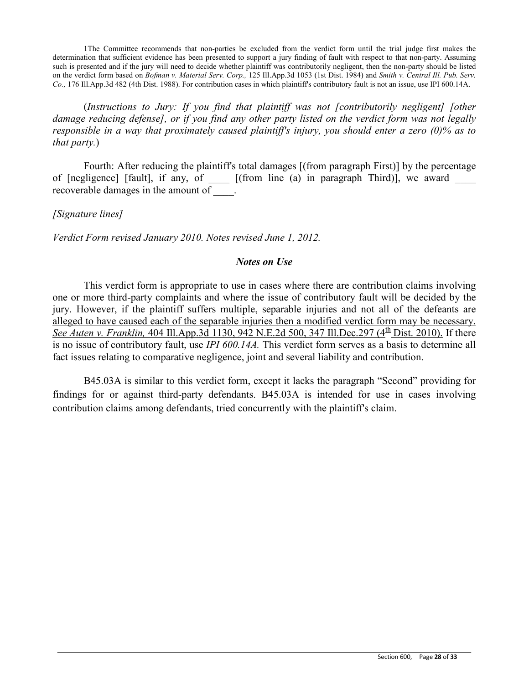1The Committee recommends that non-parties be excluded from the verdict form until the trial judge first makes the determination that sufficient evidence has been presented to support a jury finding of fault with respect to that non-party. Assuming such is presented and if the jury will need to decide whether plaintiff was contributorily negligent, then the non-party should be listed on the verdict form based on *Bofman v. Material Serv. Corp.,* 125 Ill.App.3d 1053 (1st Dist. 1984) and *Smith v. Central Ill. Pub. Serv. Co.,* 176 Ill.App.3d 482 (4th Dist. 1988). For contribution cases in which plaintiff's contributory fault is not an issue, use IPI 600.14A.

(*Instructions to Jury: If you find that plaintiff was not [contributorily negligent] [other damage reducing defense], or if you find any other party listed on the verdict form was not legally responsible in a way that proximately caused plaintiff's injury, you should enter a zero (0)% as to that party.*)

Fourth: After reducing the plaintiff's total damages [(from paragraph First)] by the percentage of [negligence] [fault], if any, of \_\_\_\_ [(from line (a) in paragraph Third)], we award \_\_\_\_ recoverable damages in the amount of  $\qquad$ .

*[Signature lines]* 

*Verdict Form revised January 2010. Notes revised June 1, 2012.*

### *Notes on Use*

This verdict form is appropriate to use in cases where there are contribution claims involving one or more third-party complaints and where the issue of contributory fault will be decided by the jury. However, if the plaintiff suffers multiple, separable injuries and not all of the defeants are alleged to have caused each of the separable injuries then a modified verdict form may be necessary. *See Auten v. Franklin,* 404 Ill.App.3d 1130, 942 N.E.2d 500, 347 Ill.Dec.297 (4<sup>th</sup> Dist. 2010). If there is no issue of contributory fault, use *IPI 600.14A.* This verdict form serves as a basis to determine all fact issues relating to comparative negligence, joint and several liability and contribution.

B45.03A is similar to this verdict form, except it lacks the paragraph "Second" providing for findings for or against third-party defendants. B45.03A is intended for use in cases involving contribution claims among defendants, tried concurrently with the plaintiff's claim.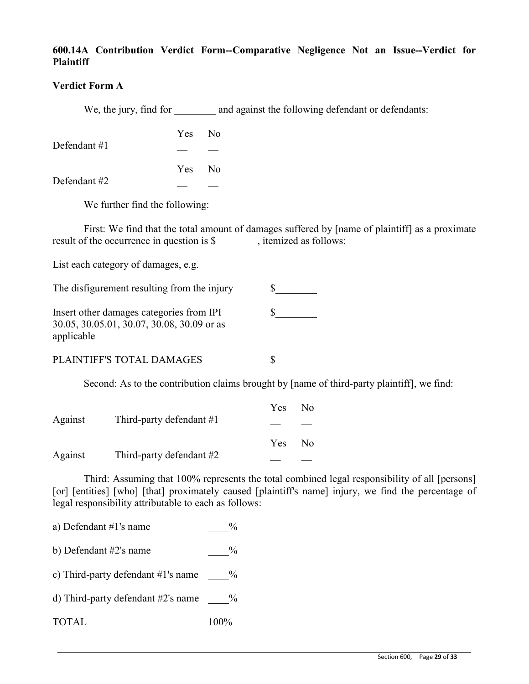# **600.14A Contribution Verdict Form--Comparative Negligence Not an Issue--Verdict for Plaintiff**

## **Verdict Form A**

We, the jury, find for and against the following defendant or defendants:

| Defendant $#1$ | Yes No |  |
|----------------|--------|--|
|                |        |  |
|                | Yes No |  |
| Defendant #2   |        |  |

We further find the following:

First: We find that the total amount of damages suffered by [name of plaintiff] as a proximate result of the occurrence in question is \$\_\_\_\_\_\_\_, itemized as follows:

List each category of damages, e.g.

| The disfigurement resulting from the injury                                                          |  |
|------------------------------------------------------------------------------------------------------|--|
| Insert other damages categories from IPI<br>30.05, 30.05.01, 30.07, 30.08, 30.09 or as<br>applicable |  |

PLAINTIFF'S TOTAL DAMAGES  $\qquad \qquad$  \$

Second: As to the contribution claims brought by [name of third-party plaintiff], we find:

|         |                            | Yes  | No. |
|---------|----------------------------|------|-----|
| Against | Third-party defendant #1   |      |     |
|         |                            | Yes. | Nο  |
| Against | Third-party defendant $#2$ |      |     |

Third: Assuming that 100% represents the total combined legal responsibility of all [persons] [or] [entities] [who] [that] proximately caused [plaintiff's name] injury, we find the percentage of legal responsibility attributable to each as follows:

a) Defendant  $\#1$ 's name  $\%$ b) Defendant  $#2$ 's name  $\frac{9}{6}$ c) Third-party defendant  $#1$ 's name  $\%$ d) Third-party defendant  $#2$ 's name  $\%$ TOTAL 100%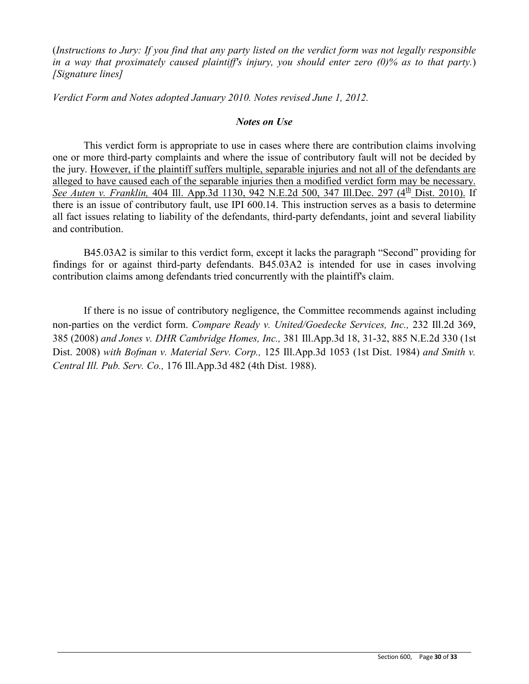(*Instructions to Jury: If you find that any party listed on the verdict form was not legally responsible in a way that proximately caused plaintiff's injury, you should enter zero (0)% as to that party.*) *[Signature lines]*

*Verdict Form and Notes adopted January 2010. Notes revised June 1, 2012.*

# *Notes on Use*

This verdict form is appropriate to use in cases where there are contribution claims involving one or more third-party complaints and where the issue of contributory fault will not be decided by the jury. However, if the plaintiff suffers multiple, separable injuries and not all of the defendants are alleged to have caused each of the separable injuries then a modified verdict form may be necessary. *See Auten v. Franklin,* 404 Ill. App.3d 1130, 942 N.E.2d 500, 347 Ill.Dec. 297 (4<sup>th</sup> Dist. 2010). If there is an issue of contributory fault, use IPI 600.14. This instruction serves as a basis to determine all fact issues relating to liability of the defendants, third-party defendants, joint and several liability and contribution.

B45.03A2 is similar to this verdict form, except it lacks the paragraph "Second" providing for findings for or against third-party defendants. B45.03A2 is intended for use in cases involving contribution claims among defendants tried concurrently with the plaintiff's claim.

If there is no issue of contributory negligence, the Committee recommends against including non-parties on the verdict form. *Compare Ready v. United/Goedecke Services, Inc.,* 232 Ill.2d 369, 385 (2008) *and Jones v. DHR Cambridge Homes, Inc.,* 381 Ill.App.3d 18, 31-32, 885 N.E.2d 330 (1st Dist. 2008) *with Bofman v. Material Serv. Corp.,* 125 Ill.App.3d 1053 (1st Dist. 1984) *and Smith v. Central Ill. Pub. Serv. Co.,* 176 Ill.App.3d 482 (4th Dist. 1988).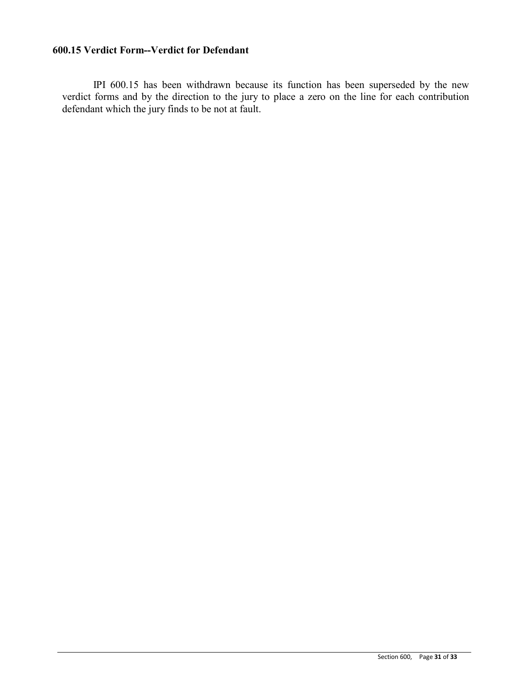# **600.15 Verdict Form--Verdict for Defendant**

IPI 600.15 has been withdrawn because its function has been superseded by the new verdict forms and by the direction to the jury to place a zero on the line for each contribution defendant which the jury finds to be not at fault.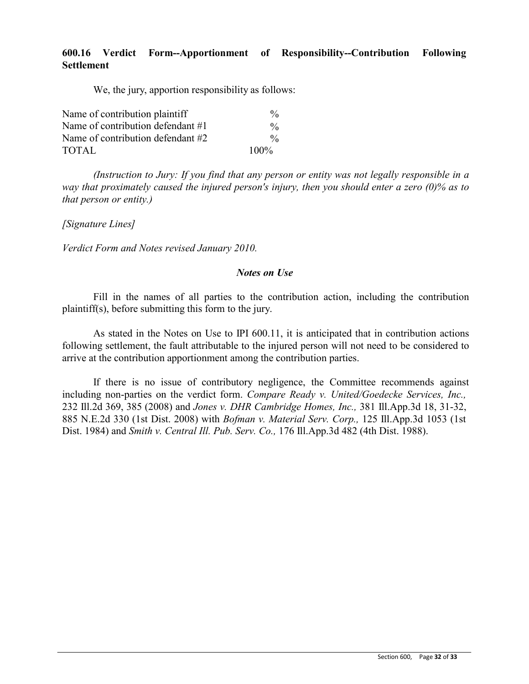# **600.16 Verdict Form--Apportionment of Responsibility--Contribution Following Settlement**

We, the jury, apportion responsibility as follows:

| Name of contribution plaintiff    | $\frac{0}{0}$ |
|-----------------------------------|---------------|
| Name of contribution defendant #1 | $\frac{0}{0}$ |
| Name of contribution defendant #2 | $\frac{0}{0}$ |
| TOTAL                             | $100\%$       |

*(Instruction to Jury: If you find that any person or entity was not legally responsible in a way that proximately caused the injured person's injury, then you should enter a zero (0)% as to that person or entity.)*

*[Signature Lines]*

*Verdict Form and Notes revised January 2010.*

### *Notes on Use*

Fill in the names of all parties to the contribution action, including the contribution plaintiff(s), before submitting this form to the jury.

As stated in the Notes on Use to IPI 600.11, it is anticipated that in contribution actions following settlement, the fault attributable to the injured person will not need to be considered to arrive at the contribution apportionment among the contribution parties.

If there is no issue of contributory negligence, the Committee recommends against including non-parties on the verdict form. *Compare Ready v. United/Goedecke Services, Inc.,* 232 Ill.2d 369, 385 (2008) and *Jones v. DHR Cambridge Homes, Inc.,* 381 Ill.App.3d 18, 31-32, 885 N.E.2d 330 (1st Dist. 2008) with *Bofman v. Material Serv. Corp.,* 125 Ill.App.3d 1053 (1st Dist. 1984) and *Smith v. Central Ill. Pub. Serv. Co.,* 176 Ill.App.3d 482 (4th Dist. 1988).